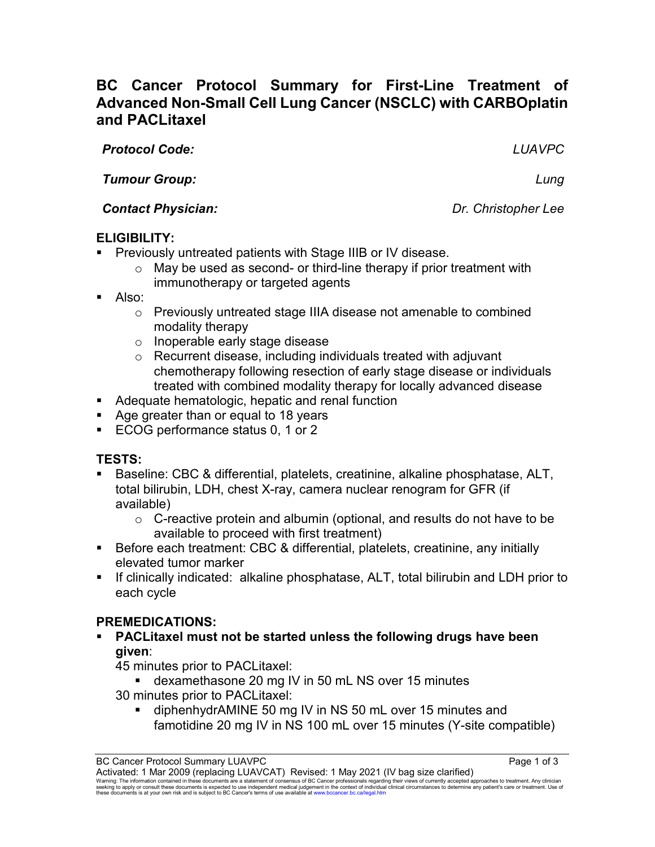# **BC Cancer Protocol Summary for First-Line Treatment of Advanced Non-Small Cell Lung Cancer (NSCLC) with CARBOplatin and PACLitaxel**

*Protocol Code: LUAVPC*

*Tumour Group: Lung*

*Contact Physician: Dr. Christopher Lee*

# **ELIGIBILITY:**

- **Previously untreated patients with Stage IIIB or IV disease.** 
	- $\circ$  May be used as second- or third-line therapy if prior treatment with immunotherapy or targeted agents
- Also:
	- o Previously untreated stage IIIA disease not amenable to combined modality therapy
	- o Inoperable early stage disease
	- o Recurrent disease, including individuals treated with adjuvant chemotherapy following resection of early stage disease or individuals treated with combined modality therapy for locally advanced disease
- **Adequate hematologic, hepatic and renal function**
- Age greater than or equal to 18 years
- **ECOG performance status 0, 1 or 2**

# **TESTS:**

- Baseline: CBC & differential, platelets, creatinine, alkaline phosphatase, ALT, total bilirubin, LDH, chest X-ray, camera nuclear renogram for GFR (if available)
	- $\circ$  C-reactive protein and albumin (optional, and results do not have to be available to proceed with first treatment)
- Before each treatment: CBC & differential, platelets, creatinine, any initially elevated tumor marker
- If clinically indicated: alkaline phosphatase, ALT, total bilirubin and LDH prior to each cycle

# **PREMEDICATIONS:**

 **PACLitaxel must not be started unless the following drugs have been given**:

45 minutes prior to PACLitaxel:

- dexamethasone 20 mg IV in 50 mL NS over 15 minutes 30 minutes prior to PACLitaxel:
	- diphenhydrAMINE 50 mg IV in NS 50 mL over 15 minutes and famotidine 20 mg IV in NS 100 mL over 15 minutes (Y-site compatible)

BC Cancer Protocol Summary LUAVPC **Page 1 of 3** Page 1 of 3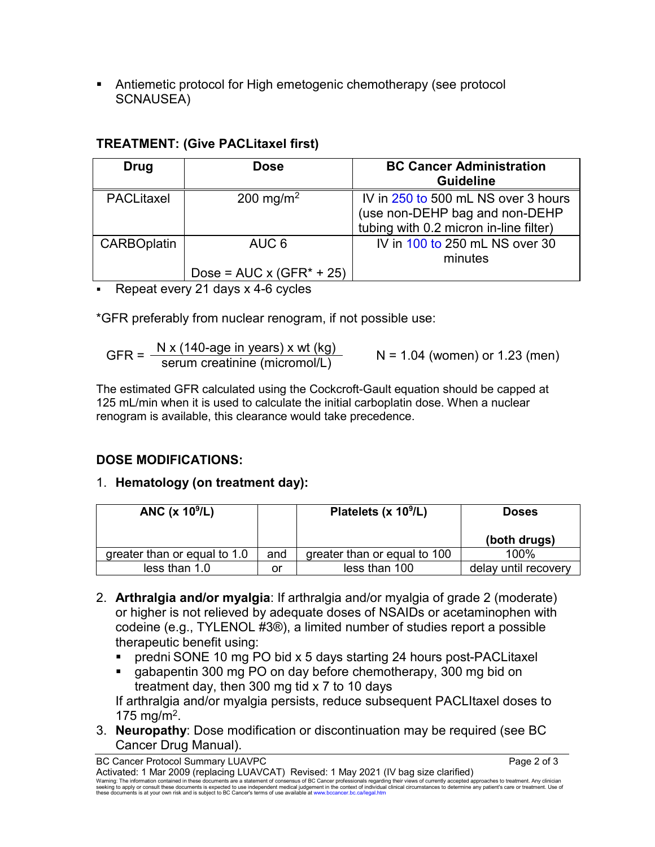Antiemetic protocol for High emetogenic chemotherapy (see protocol SCNAUSEA)

### **TREATMENT: (Give PACLitaxel first)**

| Drug               | <b>Dose</b>                               | <b>BC Cancer Administration</b><br><b>Guideline</b>                                                             |
|--------------------|-------------------------------------------|-----------------------------------------------------------------------------------------------------------------|
| <b>PACLitaxel</b>  | 200 mg/m <sup>2</sup>                     | IV in 250 to 500 mL NS over 3 hours<br>(use non-DEHP bag and non-DEHP<br>tubing with 0.2 micron in-line filter) |
| <b>CARBOplatin</b> | AUC 6<br>Dose = $AUC \times (GFR^* + 25)$ | IV in 100 to 250 mL NS over 30<br>minutes                                                                       |

Repeat every 21 days x 4-6 cycles

\*GFR preferably from nuclear renogram, if not possible use:

GFR =  $\frac{N x (140\text{-age in years}) x wt (kg)}{\text{serum creation (micromol/L)}}$  N = 1.04 (women) or 1.23 (men)

The estimated GFR calculated using the Cockcroft-Gault equation should be capped at 125 mL/min when it is used to calculate the initial carboplatin dose. When a nuclear renogram is available, this clearance would take precedence.

## **DOSE MODIFICATIONS:**

## 1. **Hematology (on treatment day):**

| ANC $(x 109/L)$              |     | Platelets $(x 109/L)$        | <b>Doses</b>         |
|------------------------------|-----|------------------------------|----------------------|
|                              |     |                              | (both drugs)         |
| greater than or equal to 1.0 | and | greater than or equal to 100 | 100%                 |
| less than 1.0                | or  | less than 100                | delay until recovery |

- 2. **Arthralgia and/or myalgia**: If arthralgia and/or myalgia of grade 2 (moderate) or higher is not relieved by adequate doses of NSAIDs or acetaminophen with codeine (e.g., TYLENOL #3®), a limited number of studies report a possible therapeutic benefit using:
	- predni SONE 10 mg PO bid x 5 days starting 24 hours post-PACLitaxel
	- **gabapentin 300 mg PO on day before chemotherapy, 300 mg bid on** treatment day, then 300 mg tid x 7 to 10 days

If arthralgia and/or myalgia persists, reduce subsequent PACLItaxel doses to 175 mg/m<sup>2</sup>.

3. **Neuropathy**: Dose modification or discontinuation may be required (see BC Cancer Drug Manual).

BC Cancer Protocol Summary LUAVPC **Page 2 of 3** and 3 Activated: 1 Mar 2009 (replacing LUAVCAT) Revised: 1 May 2021 (IV bag size clarified) Warning: The information contained in these documents are a statement of consensus of BC Cancer professionals regarding their views of currently accepted approaches to treatment. Any clinician<br>seeking to apply or consult t